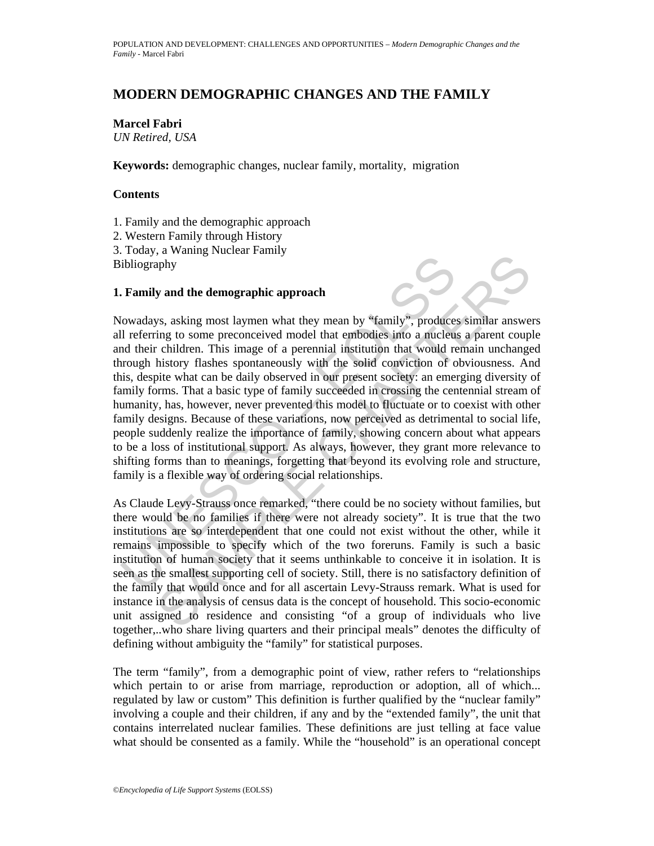# **MODERN DEMOGRAPHIC CHANGES AND THE FAMILY**

**Marcel Fabri** 

*UN Retired, USA* 

**Keywords:** demographic changes, nuclear family, mortality, migration

## **Contents**

1. Family and the demographic approach

2. Western Family through History

3. Today, a Waning Nuclear Family Bibliography

## **1. Family and the demographic approach**

**Family and the demographic approach**<br>
ibliography<br>
ibliography<br>
ibliography<br>
Il referring to some preconceived model that embodies into a nucleus<br>
Il referring to some preconceived model that embodies into a nucleus<br>
and The state of the demographic approach<br>sphy<br>y and the demographic approach<br>in the system and they mean by "family", produces similar answer<br>in the come preconceived model that embodies into a nucleas a parent coupl<br>intiotry Nowadays, asking most laymen what they mean by "family", produces similar answers all referring to some preconceived model that embodies into a nucleus a parent couple and their children. This image of a perennial institution that would remain unchanged through history flashes spontaneously with the solid conviction of obviousness. And this, despite what can be daily observed in our present society: an emerging diversity of family forms. That a basic type of family succeeded in crossing the centennial stream of humanity, has, however, never prevented this model to fluctuate or to coexist with other family designs. Because of these variations, now perceived as detrimental to social life, people suddenly realize the importance of family, showing concern about what appears to be a loss of institutional support. As always, however, they grant more relevance to shifting forms than to meanings, forgetting that beyond its evolving role and structure, family is a flexible way of ordering social relationships.

As Claude Levy-Strauss once remarked, "there could be no society without families, but there would be no families if there were not already society". It is true that the two institutions are so interdependent that one could not exist without the other, while it remains impossible to specify which of the two foreruns. Family is such a basic institution of human society that it seems unthinkable to conceive it in isolation. It is seen as the smallest supporting cell of society. Still, there is no satisfactory definition of the family that would once and for all ascertain Levy-Strauss remark. What is used for instance in the analysis of census data is the concept of household. This socio-economic unit assigned to residence and consisting "of a group of individuals who live together,..who share living quarters and their principal meals" denotes the difficulty of defining without ambiguity the "family" for statistical purposes.

The term "family", from a demographic point of view, rather refers to "relationships which pertain to or arise from marriage, reproduction or adoption, all of which... regulated by law or custom" This definition is further qualified by the "nuclear family" involving a couple and their children, if any and by the "extended family", the unit that contains interrelated nuclear families. These definitions are just telling at face value what should be consented as a family. While the "household" is an operational concept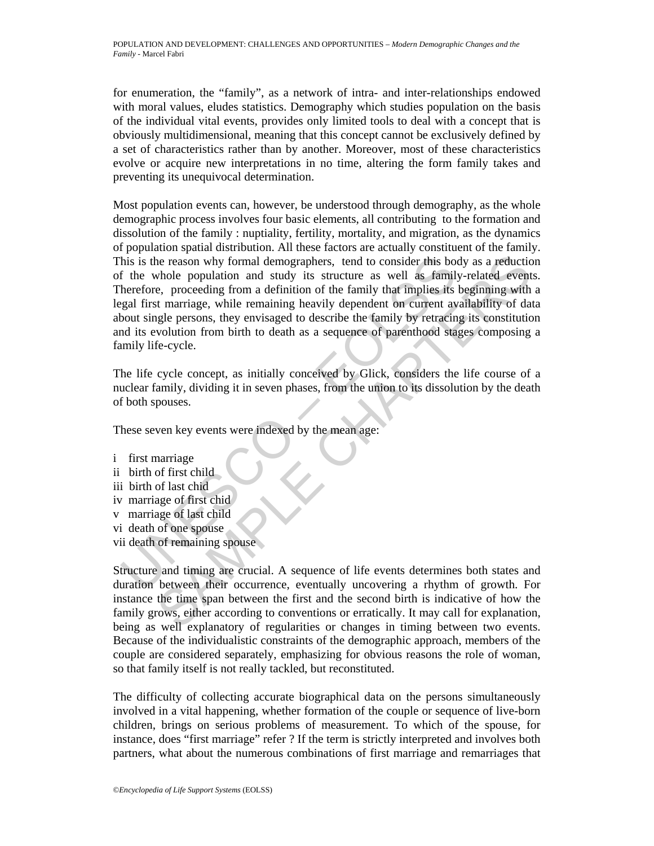for enumeration, the "family", as a network of intra- and inter-relationships endowed with moral values, eludes statistics. Demography which studies population on the basis of the individual vital events, provides only limited tools to deal with a concept that is obviously multidimensional, meaning that this concept cannot be exclusively defined by a set of characteristics rather than by another. Moreover, most of these characteristics evolve or acquire new interpretations in no time, altering the form family takes and preventing its unequivocal determination.

in this is the reason why formal demographers, tend to consider this both the whole population and study its structure as well as family the family that implies its speeding from a definition of the family that implies its is the creason why formal demographers, tend to consider this body as a reduction<br>
whole population and study its structure as well as family-related event,<br>
the creasing from a definition of the family that implies its be Most population events can, however, be understood through demography, as the whole demographic process involves four basic elements, all contributing to the formation and dissolution of the family : nuptiality, fertility, mortality, and migration, as the dynamics of population spatial distribution. All these factors are actually constituent of the family. This is the reason why formal demographers, tend to consider this body as a reduction of the whole population and study its structure as well as family-related events. Therefore, proceeding from a definition of the family that implies its beginning with a legal first marriage, while remaining heavily dependent on current availability of data about single persons, they envisaged to describe the family by retracing its constitution and its evolution from birth to death as a sequence of parenthood stages composing a family life-cycle.

The life cycle concept, as initially conceived by Glick, considers the life course of a nuclear family, dividing it in seven phases, from the union to its dissolution by the death of both spouses.

These seven key events were indexed by the mean age:

i first marriage ii birth of first child iii birth of last chid iv marriage of first chid v marriage of last child vi death of one spouse vii death of remaining spouse

Structure and timing are crucial. A sequence of life events determines both states and duration between their occurrence, eventually uncovering a rhythm of growth. For instance the time span between the first and the second birth is indicative of how the family grows, either according to conventions or erratically. It may call for explanation, being as well explanatory of regularities or changes in timing between two events. Because of the individualistic constraints of the demographic approach, members of the couple are considered separately, emphasizing for obvious reasons the role of woman, so that family itself is not really tackled, but reconstituted.

The difficulty of collecting accurate biographical data on the persons simultaneously involved in a vital happening, whether formation of the couple or sequence of live-born children, brings on serious problems of measurement. To which of the spouse, for instance, does "first marriage" refer ? If the term is strictly interpreted and involves both partners, what about the numerous combinations of first marriage and remarriages that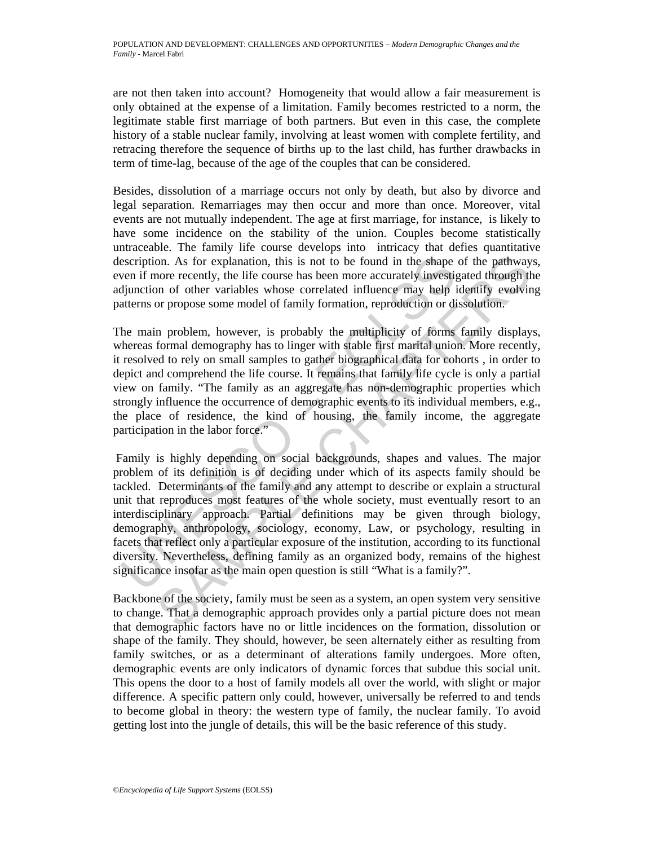are not then taken into account? Homogeneity that would allow a fair measurement is only obtained at the expense of a limitation. Family becomes restricted to a norm, the legitimate stable first marriage of both partners. But even in this case, the complete history of a stable nuclear family, involving at least women with complete fertility, and retracing therefore the sequence of births up to the last child, has further drawbacks in term of time-lag, because of the age of the couples that can be considered.

Besides, dissolution of a marriage occurs not only by death, but also by divorce and legal separation. Remarriages may then occur and more than once. Moreover, vital events are not mutually independent. The age at first marriage, for instance, is likely to have some incidence on the stability of the union. Couples become statistically untraceable. The family life course develops into intricacy that defies quantitative description. As for explanation, this is not to be found in the shape of the pathways, even if more recently, the life course has been more accurately investigated through the adjunction of other variables whose correlated influence may help identify evolving patterns or propose some model of family formation, reproduction or dissolution.

The main problem, however, is probably the multiplicity of forms family displays, whereas formal demography has to linger with stable first marital union. More recently, it resolved to rely on small samples to gather biographical data for cohorts , in order to depict and comprehend the life course. It remains that family life cycle is only a partial view on family. "The family as an aggregate has non-demographic properties which strongly influence the occurrence of demographic events to its individual members, e.g., the place of residence, the kind of housing, the family income, the aggregate participation in the labor force."

escription. As for explanation, this is not to be found in the shape<br>ven if more recently, the life course has been more accurately investig<br>djunction of other variables whose correlated influence may help i<br>diterms or pro on. As for explanation, this is not to be found in the shape of the pathway<br>one recently, the life course has been more accurately investigated through the<br>or profer variables whose correlated influence may help identify Family is highly depending on social backgrounds, shapes and values. The major problem of its definition is of deciding under which of its aspects family should be tackled. Determinants of the family and any attempt to describe or explain a structural unit that reproduces most features of the whole society, must eventually resort to an interdisciplinary approach. Partial definitions may be given through biology, demography, anthropology, sociology, economy, Law, or psychology, resulting in facets that reflect only a particular exposure of the institution, according to its functional diversity. Nevertheless, defining family as an organized body, remains of the highest significance insofar as the main open question is still "What is a family?".

Backbone of the society, family must be seen as a system, an open system very sensitive to change. That a demographic approach provides only a partial picture does not mean that demographic factors have no or little incidences on the formation, dissolution or shape of the family. They should, however, be seen alternately either as resulting from family switches, or as a determinant of alterations family undergoes. More often, demographic events are only indicators of dynamic forces that subdue this social unit. This opens the door to a host of family models all over the world, with slight or major difference. A specific pattern only could, however, universally be referred to and tends to become global in theory: the western type of family, the nuclear family. To avoid getting lost into the jungle of details, this will be the basic reference of this study.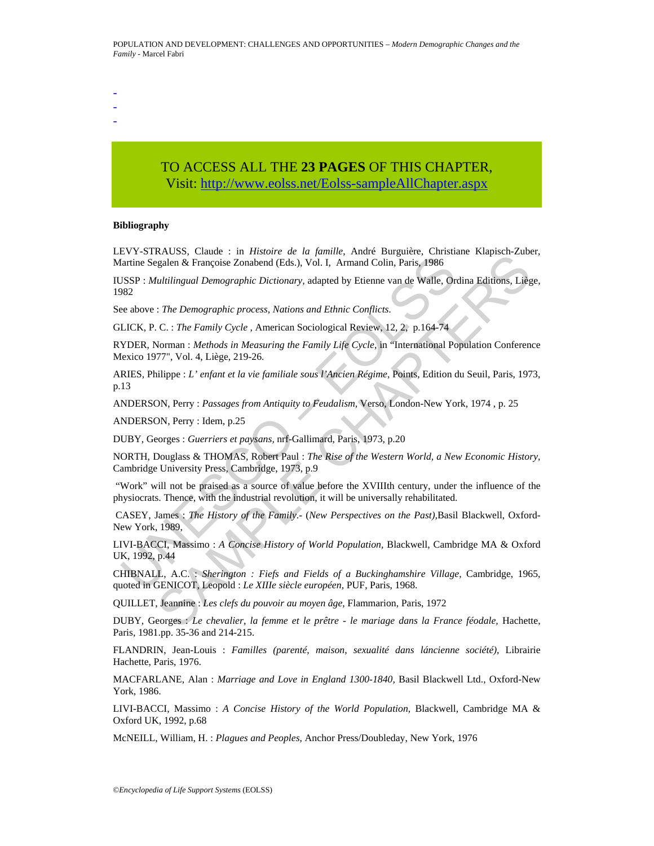- -

-

# TO ACCESS ALL THE **23 PAGES** OF THIS CHAPTER, Visit[: http://www.eolss.net/Eolss-sampleAllChapter.aspx](https://www.eolss.net/ebooklib/sc_cart.aspx?File=E1-13-02-06)

#### **Bibliography**

LEVY-STRAUSS, Claude : in *Histoire de la famille*, André Burguière, Christiane Klapisch-Zuber, Martine Segalen & Françoise Zonabend (Eds.), Vol. I, Armand Colin, Paris, 1986

Entrinon Segalen & Françoise Zonabend (Eds.), Vol. I, Armand Colin, Paris. 1986<br>
Martine Segalen & Françoise Zonabend (Eds.), Vol. I, Armand Colin, Paris. 1986<br>
SSP : *Multilingual Demographic process, Nations and Ethnic* Extremely. Canate The Thistory of World Population, Blackwell, Canabridge, 1966<br>
State Chapter Constant (Eds.), Vol. 1, Armand Colin, Paris, 1986<br>
state in the monographic Dictionary, adapted by Etienne van de Walle, Ordi IUSSP : *Multilingual Demographic Dictionary,* adapted by Etienne van de Walle, Ordina Editions, Liège, 1982

See above : *The Demographic process, Nations and Ethnic Conflicts.*

GLICK, P. C. : *The Family Cycle* , American Sociological Review, 12, 2, p.164-74

RYDER, Norman : *Methods in Measuring the Family Life Cycle,* in "International Population Conference Mexico 1977", Vol. 4, Liège, 219-26.

ARIES, Philippe : *L' enfant et la vie familiale sous l'Ancien Régime,* Points, Edition du Seuil, Paris, 1973, p.13

ANDERSON, Perry : *Passages from Antiquity to Feudalism,* Verso, London-New York, 1974 , p. 25

ANDERSON, Perry : Idem, p.25

DUBY, Georges : *Guerriers et paysans,* nrf-Gallimard, Paris, 1973, p.20

NORTH, Douglass & THOMAS, Robert Paul : *The Rise of the Western World, a New Economic History,* Cambridge University Press, Cambridge, 1973, p.9

 "Work" will not be praised as a source of value before the XVIIIth century, under the influence of the physiocrats. Thence, with the industrial revolution, it will be universally rehabilitated.

 CASEY, James : *The History of the Family*.- (*New Perspectives on the Past),*Basil Blackwell, Oxford-New York, 1989,

LIVI-BACCI, Massimo : *A Concise History of World Population,* Blackwell, Cambridge MA & Oxford UK, 1992, p.44

CHIBNALL, A.C. : *Sherington : Fiefs and Fields of a Buckinghamshire Village,* Cambridge, 1965, quoted in GENICOT, Leopold : *Le XIIIe siècle européen,* PUF, Paris, 1968.

QUILLET, Jeannine : *Les clefs du pouvoir au moyen âge,* Flammarion, Paris, 1972

DUBY, Georges : Le chevalier, la femme et le prêtre - le mariage dans la France féodale, Hachette, Paris, 1981.pp. 35-36 and 214-215.

FLANDRIN, Jean-Louis : *Familles (parenté, maison, sexualité dans láncienne société),* Librairie Hachette, Paris, 1976.

MACFARLANE, Alan : *Marriage and Love in England 1300-1840,* Basil Blackwell Ltd., Oxford-New York, 1986.

LIVI-BACCI, Massimo : *A Concise History of the World Population,* Blackwell, Cambridge MA & Oxford UK, 1992, p.68

McNEILL, William, H. : *Plagues and Peoples*, Anchor Press/Doubleday, New York, 1976